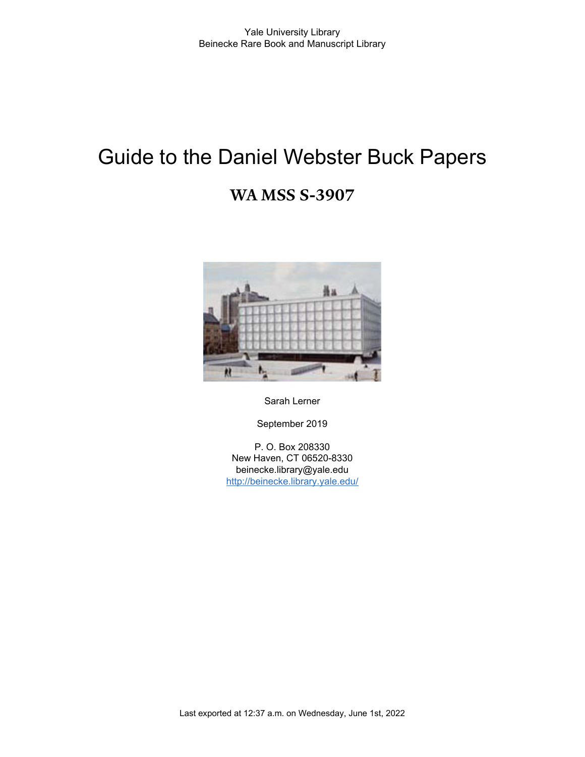# Guide to the Daniel Webster Buck Papers

## **WA MSS S-3907**



Sarah Lerner

September 2019

P. O. Box 208330 New Haven, CT 06520-8330 beinecke.library@yale.edu <http://beinecke.library.yale.edu/>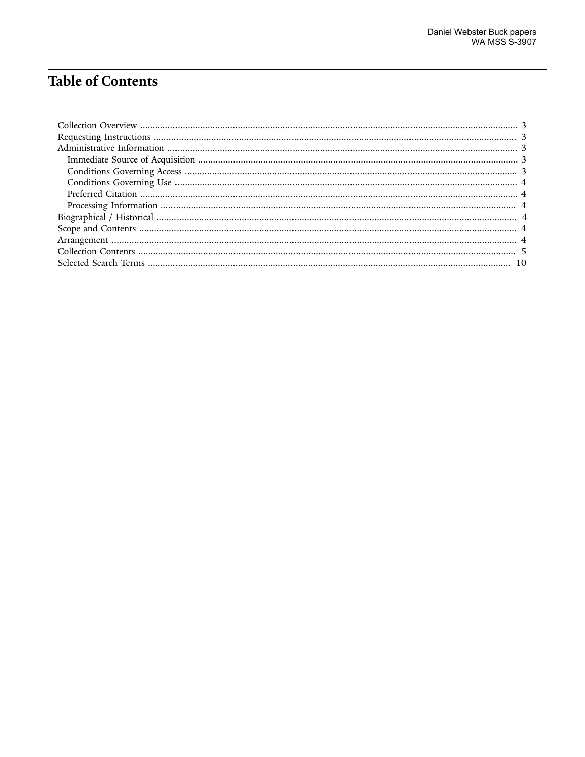# **Table of Contents**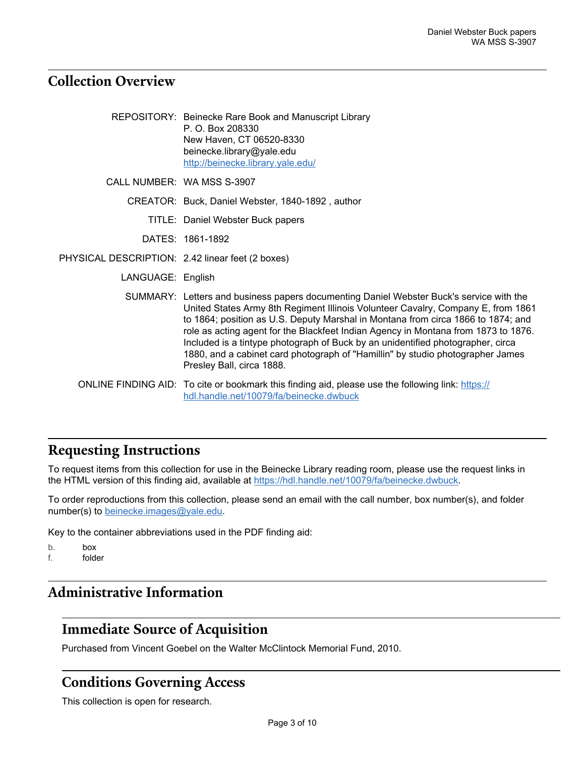## <span id="page-2-0"></span>**Collection Overview**

|                                                  | REPOSITORY: Beinecke Rare Book and Manuscript Library<br>P. O. Box 208330<br>New Haven, CT 06520-8330<br>beinecke.library@yale.edu<br>http://beinecke.library.yale.edu/                                                                                                                                                                                                                                                                                                                                                                                 |
|--------------------------------------------------|---------------------------------------------------------------------------------------------------------------------------------------------------------------------------------------------------------------------------------------------------------------------------------------------------------------------------------------------------------------------------------------------------------------------------------------------------------------------------------------------------------------------------------------------------------|
|                                                  | CALL NUMBER: WA MSS S-3907                                                                                                                                                                                                                                                                                                                                                                                                                                                                                                                              |
|                                                  | CREATOR: Buck, Daniel Webster, 1840-1892, author                                                                                                                                                                                                                                                                                                                                                                                                                                                                                                        |
|                                                  | TITLE: Daniel Webster Buck papers                                                                                                                                                                                                                                                                                                                                                                                                                                                                                                                       |
|                                                  | DATES: 1861-1892                                                                                                                                                                                                                                                                                                                                                                                                                                                                                                                                        |
| PHYSICAL DESCRIPTION: 2.42 linear feet (2 boxes) |                                                                                                                                                                                                                                                                                                                                                                                                                                                                                                                                                         |
| LANGUAGE: English                                |                                                                                                                                                                                                                                                                                                                                                                                                                                                                                                                                                         |
|                                                  | SUMMARY: Letters and business papers documenting Daniel Webster Buck's service with the<br>United States Army 8th Regiment Illinois Volunteer Cavalry, Company E, from 1861<br>to 1864; position as U.S. Deputy Marshal in Montana from circa 1866 to 1874; and<br>role as acting agent for the Blackfeet Indian Agency in Montana from 1873 to 1876.<br>Included is a tintype photograph of Buck by an unidentified photographer, circa<br>1880, and a cabinet card photograph of "Hamillin" by studio photographer James<br>Presley Ball, circa 1888. |
|                                                  | ONLINE FINDING AID: To cite or bookmark this finding aid, please use the following link: https://<br>hdl.handle.net/10079/fa/beinecke.dwbuck                                                                                                                                                                                                                                                                                                                                                                                                            |

## <span id="page-2-1"></span>**Requesting Instructions**

To request items from this collection for use in the Beinecke Library reading room, please use the request links in the HTML version of this finding aid, available at [https://hdl.handle.net/10079/fa/beinecke.dwbuck.](https://hdl.handle.net/10079/fa/beinecke.dwbuck)

To order reproductions from this collection, please send an email with the call number, box number(s), and folder number(s) to [beinecke.images@yale.edu.](mailto:beinecke.images@yale.edu)

Key to the container abbreviations used in the PDF finding aid:

b. box

f. folder

## <span id="page-2-2"></span>**Administrative Information**

## <span id="page-2-3"></span>**Immediate Source of Acquisition**

Purchased from Vincent Goebel on the Walter McClintock Memorial Fund, 2010.

#### <span id="page-2-4"></span>**Conditions Governing Access**

This collection is open for research.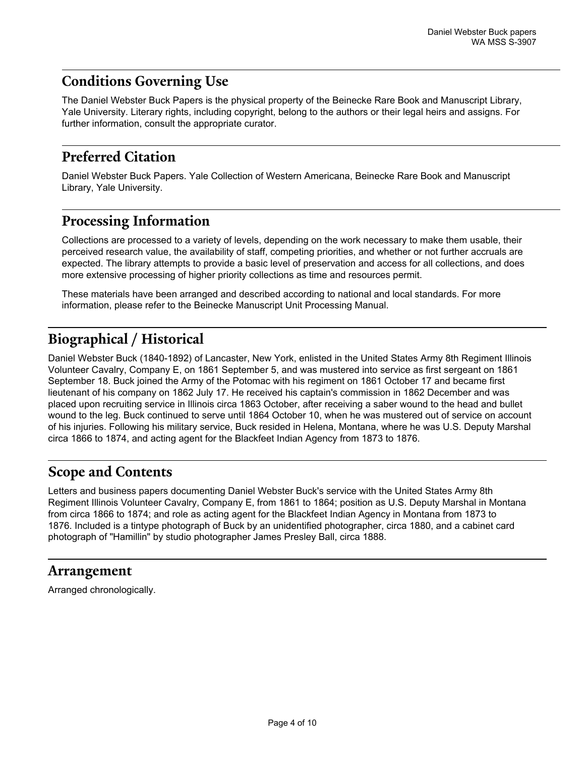## <span id="page-3-0"></span>**Conditions Governing Use**

The Daniel Webster Buck Papers is the physical property of the Beinecke Rare Book and Manuscript Library, Yale University. Literary rights, including copyright, belong to the authors or their legal heirs and assigns. For further information, consult the appropriate curator.

## <span id="page-3-1"></span>**Preferred Citation**

Daniel Webster Buck Papers. Yale Collection of Western Americana, Beinecke Rare Book and Manuscript Library, Yale University.

## <span id="page-3-2"></span>**Processing Information**

Collections are processed to a variety of levels, depending on the work necessary to make them usable, their perceived research value, the availability of staff, competing priorities, and whether or not further accruals are expected. The library attempts to provide a basic level of preservation and access for all collections, and does more extensive processing of higher priority collections as time and resources permit.

These materials have been arranged and described according to national and local standards. For more information, please refer to the Beinecke Manuscript Unit Processing Manual.

## <span id="page-3-3"></span>**Biographical / Historical**

Daniel Webster Buck (1840-1892) of Lancaster, New York, enlisted in the United States Army 8th Regiment Illinois Volunteer Cavalry, Company E, on 1861 September 5, and was mustered into service as first sergeant on 1861 September 18. Buck joined the Army of the Potomac with his regiment on 1861 October 17 and became first lieutenant of his company on 1862 July 17. He received his captain's commission in 1862 December and was placed upon recruiting service in Illinois circa 1863 October, after receiving a saber wound to the head and bullet wound to the leg. Buck continued to serve until 1864 October 10, when he was mustered out of service on account of his injuries. Following his military service, Buck resided in Helena, Montana, where he was U.S. Deputy Marshal circa 1866 to 1874, and acting agent for the Blackfeet Indian Agency from 1873 to 1876.

## <span id="page-3-4"></span>**Scope and Contents**

Letters and business papers documenting Daniel Webster Buck's service with the United States Army 8th Regiment Illinois Volunteer Cavalry, Company E, from 1861 to 1864; position as U.S. Deputy Marshal in Montana from circa 1866 to 1874; and role as acting agent for the Blackfeet Indian Agency in Montana from 1873 to 1876. Included is a tintype photograph of Buck by an unidentified photographer, circa 1880, and a cabinet card photograph of "Hamillin" by studio photographer James Presley Ball, circa 1888.

#### <span id="page-3-5"></span>**Arrangement**

Arranged chronologically.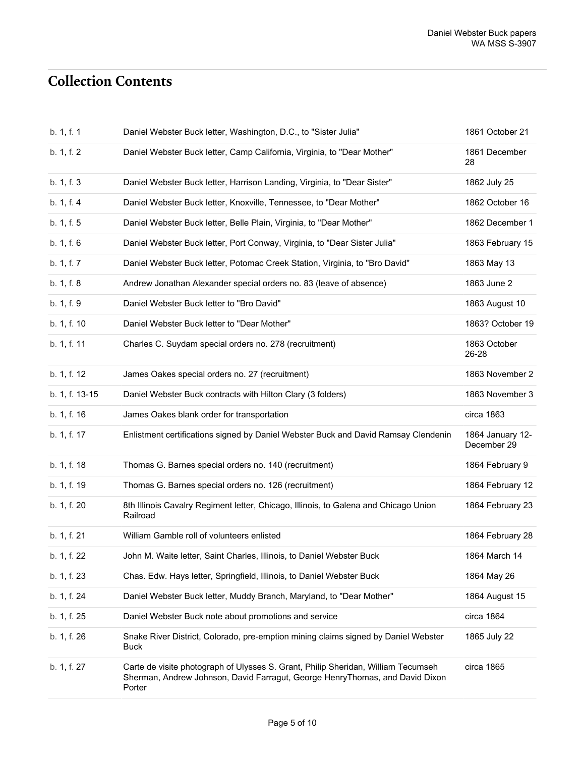# <span id="page-4-0"></span>**Collection Contents**

| b. 1, f. 1     | Daniel Webster Buck letter, Washington, D.C., to "Sister Julia"                                                                                                             | 1861 October 21                 |
|----------------|-----------------------------------------------------------------------------------------------------------------------------------------------------------------------------|---------------------------------|
| b. 1, f. 2     | Daniel Webster Buck letter, Camp California, Virginia, to "Dear Mother"                                                                                                     | 1861 December<br>28             |
| b. 1, f. 3     | Daniel Webster Buck letter, Harrison Landing, Virginia, to "Dear Sister"                                                                                                    | 1862 July 25                    |
| b. 1, f. 4     | Daniel Webster Buck letter, Knoxville, Tennessee, to "Dear Mother"                                                                                                          | 1862 October 16                 |
| b. 1, f. 5     | Daniel Webster Buck letter, Belle Plain, Virginia, to "Dear Mother"                                                                                                         | 1862 December 1                 |
| b. 1, f. 6     | Daniel Webster Buck letter, Port Conway, Virginia, to "Dear Sister Julia"                                                                                                   | 1863 February 15                |
| b. 1, f. 7     | Daniel Webster Buck letter, Potomac Creek Station, Virginia, to "Bro David"                                                                                                 | 1863 May 13                     |
| b. 1, f. 8     | Andrew Jonathan Alexander special orders no. 83 (leave of absence)                                                                                                          | 1863 June 2                     |
| b. 1, f. 9     | Daniel Webster Buck letter to "Bro David"                                                                                                                                   | 1863 August 10                  |
| b. 1, f. 10    | Daniel Webster Buck letter to "Dear Mother"                                                                                                                                 | 1863? October 19                |
| b. 1, f. 11    | Charles C. Suydam special orders no. 278 (recruitment)                                                                                                                      | 1863 October<br>26-28           |
| b. 1, f. 12    | James Oakes special orders no. 27 (recruitment)                                                                                                                             | 1863 November 2                 |
| b. 1, f. 13-15 | Daniel Webster Buck contracts with Hilton Clary (3 folders)                                                                                                                 | 1863 November 3                 |
| b. 1, f. 16    | James Oakes blank order for transportation                                                                                                                                  | circa 1863                      |
| b. 1, f. 17    | Enlistment certifications signed by Daniel Webster Buck and David Ramsay Clendenin                                                                                          | 1864 January 12-<br>December 29 |
| b. 1, f. 18    | Thomas G. Barnes special orders no. 140 (recruitment)                                                                                                                       | 1864 February 9                 |
| b. 1, f. 19    | Thomas G. Barnes special orders no. 126 (recruitment)                                                                                                                       | 1864 February 12                |
| b. 1, f. 20    | 8th Illinois Cavalry Regiment letter, Chicago, Illinois, to Galena and Chicago Union<br>Railroad                                                                            | 1864 February 23                |
| b. 1, f. 21    | William Gamble roll of volunteers enlisted                                                                                                                                  | 1864 February 28                |
| b. 1, f. 22    | John M. Waite letter, Saint Charles, Illinois, to Daniel Webster Buck                                                                                                       | 1864 March 14                   |
| b. 1, f. 23    | Chas. Edw. Hays letter, Springfield, Illinois, to Daniel Webster Buck                                                                                                       | 1864 May 26                     |
| b. 1, f. 24    | Daniel Webster Buck letter, Muddy Branch, Maryland, to "Dear Mother"                                                                                                        | 1864 August 15                  |
| b. 1, f. 25    | Daniel Webster Buck note about promotions and service                                                                                                                       | circa 1864                      |
| b. 1, f. 26    | Snake River District, Colorado, pre-emption mining claims signed by Daniel Webster<br><b>Buck</b>                                                                           | 1865 July 22                    |
| b. 1, f. 27    | Carte de visite photograph of Ulysses S. Grant, Philip Sheridan, William Tecumseh<br>Sherman, Andrew Johnson, David Farragut, George HenryThomas, and David Dixon<br>Porter | circa 1865                      |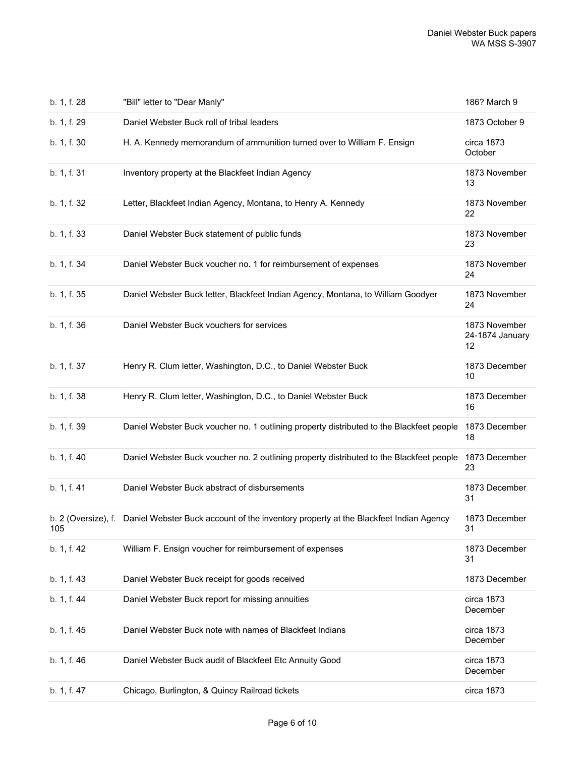| b. 1, f. 28 | "Bill" letter to "Dear Manly"                                                                            | 186? March 9                           |
|-------------|----------------------------------------------------------------------------------------------------------|----------------------------------------|
| b. 1, f. 29 | Daniel Webster Buck roll of tribal leaders                                                               | 1873 October 9                         |
| b. 1, f. 30 | H. A. Kennedy memorandum of ammunition turned over to William F. Ensign                                  | circa 1873<br>October                  |
| b. 1, f. 31 | Inventory property at the Blackfeet Indian Agency                                                        | 1873 November<br>13                    |
| b. 1, f. 32 | Letter, Blackfeet Indian Agency, Montana, to Henry A. Kennedy                                            | 1873 November<br>22                    |
| b. 1, f. 33 | Daniel Webster Buck statement of public funds                                                            | 1873 November<br>23                    |
| b. 1, f. 34 | Daniel Webster Buck voucher no. 1 for reimbursement of expenses                                          | 1873 November<br>24                    |
| b. 1, f. 35 | Daniel Webster Buck letter, Blackfeet Indian Agency, Montana, to William Goodyer                         | 1873 November<br>24                    |
| b. 1, f. 36 | Daniel Webster Buck vouchers for services                                                                | 1873 November<br>24-1874 January<br>12 |
| b. 1, f. 37 | Henry R. Clum letter, Washington, D.C., to Daniel Webster Buck                                           | 1873 December<br>10                    |
| b. 1, f. 38 | Henry R. Clum letter, Washington, D.C., to Daniel Webster Buck                                           | 1873 December<br>16                    |
| b. 1, f. 39 | Daniel Webster Buck voucher no. 1 outlining property distributed to the Blackfeet people                 | 1873 December<br>18                    |
| b. 1, f. 40 | Daniel Webster Buck voucher no. 2 outlining property distributed to the Blackfeet people                 | 1873 December<br>23                    |
| b. 1, f. 41 | Daniel Webster Buck abstract of disbursements                                                            | 1873 December<br>31                    |
| 105         | b. 2 (Oversize), f. Daniel Webster Buck account of the inventory property at the Blackfeet Indian Agency | 1873 December<br>31                    |
| b. 1, f. 42 | William F. Ensign voucher for reimbursement of expenses                                                  | 1873 December<br>31                    |
| b. 1, f. 43 | Daniel Webster Buck receipt for goods received                                                           | 1873 December                          |
| b. 1, f. 44 | Daniel Webster Buck report for missing annuities                                                         | circa 1873<br>December                 |
| b. 1, f. 45 | Daniel Webster Buck note with names of Blackfeet Indians                                                 | circa 1873<br>December                 |
| b. 1, f. 46 | Daniel Webster Buck audit of Blackfeet Etc Annuity Good                                                  | circa 1873<br>December                 |
| b. 1, f. 47 | Chicago, Burlington, & Quincy Railroad tickets                                                           | circa 1873                             |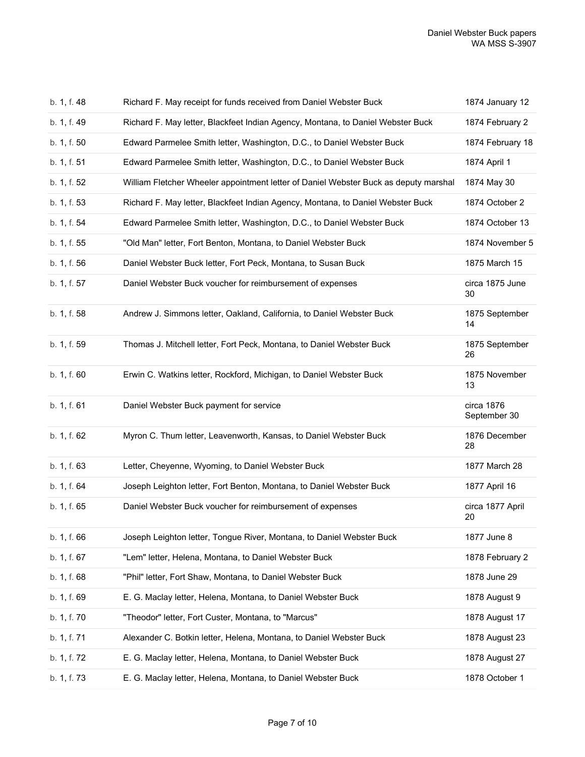| b. 1, f. 48 | Richard F. May receipt for funds received from Daniel Webster Buck                   | 1874 January 12            |
|-------------|--------------------------------------------------------------------------------------|----------------------------|
| b. 1, f. 49 | Richard F. May letter, Blackfeet Indian Agency, Montana, to Daniel Webster Buck      | 1874 February 2            |
| b. 1, f. 50 | Edward Parmelee Smith letter, Washington, D.C., to Daniel Webster Buck               | 1874 February 18           |
| b. 1, f. 51 | Edward Parmelee Smith letter, Washington, D.C., to Daniel Webster Buck               | 1874 April 1               |
| b. 1, f. 52 | William Fletcher Wheeler appointment letter of Daniel Webster Buck as deputy marshal | 1874 May 30                |
| b. 1, f. 53 | Richard F. May letter, Blackfeet Indian Agency, Montana, to Daniel Webster Buck      | 1874 October 2             |
| b. 1, f. 54 | Edward Parmelee Smith letter, Washington, D.C., to Daniel Webster Buck               | 1874 October 13            |
| b. 1, f. 55 | "Old Man" letter, Fort Benton, Montana, to Daniel Webster Buck                       | 1874 November 5            |
| b. 1, f. 56 | Daniel Webster Buck letter, Fort Peck, Montana, to Susan Buck                        | 1875 March 15              |
| b. 1, f. 57 | Daniel Webster Buck voucher for reimbursement of expenses                            | circa 1875 June<br>30      |
| b. 1, f. 58 | Andrew J. Simmons letter, Oakland, California, to Daniel Webster Buck                | 1875 September<br>14       |
| b. 1, f. 59 | Thomas J. Mitchell letter, Fort Peck, Montana, to Daniel Webster Buck                | 1875 September<br>26       |
| b. 1, f. 60 | Erwin C. Watkins letter, Rockford, Michigan, to Daniel Webster Buck                  | 1875 November<br>13        |
| b. 1, f. 61 | Daniel Webster Buck payment for service                                              | circa 1876<br>September 30 |
| b. 1, f. 62 | Myron C. Thum letter, Leavenworth, Kansas, to Daniel Webster Buck                    | 1876 December<br>28        |
| b. 1, f. 63 | Letter, Cheyenne, Wyoming, to Daniel Webster Buck                                    | 1877 March 28              |
| b. 1, f. 64 | Joseph Leighton letter, Fort Benton, Montana, to Daniel Webster Buck                 | 1877 April 16              |
| b. 1, f. 65 | Daniel Webster Buck voucher for reimbursement of expenses                            | circa 1877 April<br>20     |
| b. 1, f. 66 | Joseph Leighton letter, Tongue River, Montana, to Daniel Webster Buck                | 1877 June 8                |
| b. 1, f. 67 | "Lem" letter, Helena, Montana, to Daniel Webster Buck                                | 1878 February 2            |
| b. 1, f. 68 | "Phil" letter, Fort Shaw, Montana, to Daniel Webster Buck                            | 1878 June 29               |
| b. 1, f. 69 | E. G. Maclay letter, Helena, Montana, to Daniel Webster Buck                         | 1878 August 9              |
| b. 1, f. 70 | "Theodor" letter, Fort Custer, Montana, to "Marcus"                                  | 1878 August 17             |
| b. 1, f. 71 | Alexander C. Botkin letter, Helena, Montana, to Daniel Webster Buck                  | 1878 August 23             |
| b. 1, f. 72 | E. G. Maclay letter, Helena, Montana, to Daniel Webster Buck                         | 1878 August 27             |
| b. 1, f. 73 | E. G. Maclay letter, Helena, Montana, to Daniel Webster Buck                         | 1878 October 1             |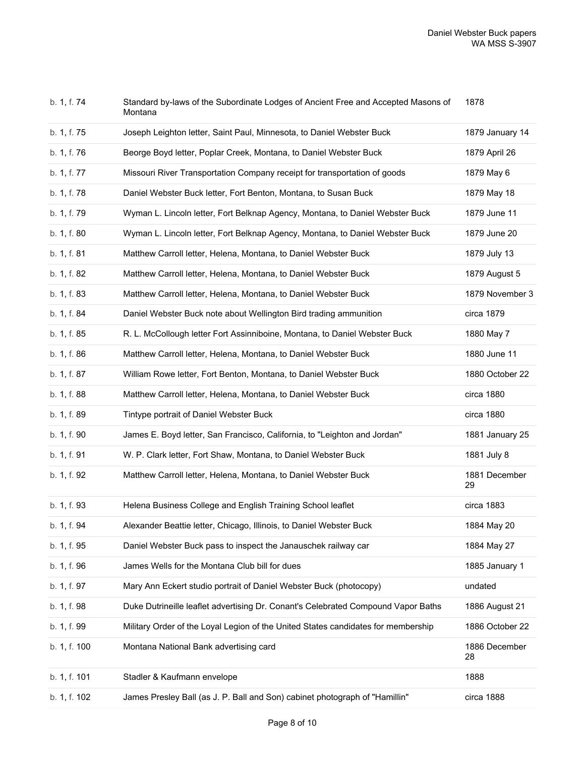| b. 1, f. 74  | Standard by-laws of the Subordinate Lodges of Ancient Free and Accepted Masons of<br>Montana | 1878                |
|--------------|----------------------------------------------------------------------------------------------|---------------------|
| b. 1, f. 75  | Joseph Leighton letter, Saint Paul, Minnesota, to Daniel Webster Buck                        | 1879 January 14     |
| b. 1, f. 76  | Beorge Boyd letter, Poplar Creek, Montana, to Daniel Webster Buck                            | 1879 April 26       |
| b. 1, f. 77  | Missouri River Transportation Company receipt for transportation of goods                    | 1879 May 6          |
| b. 1, f. 78  | Daniel Webster Buck letter, Fort Benton, Montana, to Susan Buck                              | 1879 May 18         |
| b. 1, f. 79  | Wyman L. Lincoln letter, Fort Belknap Agency, Montana, to Daniel Webster Buck                | 1879 June 11        |
| b. 1, f. 80  | Wyman L. Lincoln letter, Fort Belknap Agency, Montana, to Daniel Webster Buck                | 1879 June 20        |
| b. 1, f. 81  | Matthew Carroll letter, Helena, Montana, to Daniel Webster Buck                              | 1879 July 13        |
| b. 1, f. 82  | Matthew Carroll letter, Helena, Montana, to Daniel Webster Buck                              | 1879 August 5       |
| b. 1, f. 83  | Matthew Carroll letter, Helena, Montana, to Daniel Webster Buck                              | 1879 November 3     |
| b. 1, f. 84  | Daniel Webster Buck note about Wellington Bird trading ammunition                            | circa 1879          |
| b. 1, f. 85  | R. L. McCollough letter Fort Assinniboine, Montana, to Daniel Webster Buck                   | 1880 May 7          |
| b. 1, f. 86  | Matthew Carroll letter, Helena, Montana, to Daniel Webster Buck                              | 1880 June 11        |
| b. 1, f. 87  | William Rowe letter, Fort Benton, Montana, to Daniel Webster Buck                            | 1880 October 22     |
| b. 1, f. 88  | Matthew Carroll letter, Helena, Montana, to Daniel Webster Buck                              | circa 1880          |
| b. 1, f. 89  |                                                                                              |                     |
|              | Tintype portrait of Daniel Webster Buck                                                      | circa 1880          |
| b. 1, f. 90  | James E. Boyd letter, San Francisco, California, to "Leighton and Jordan"                    | 1881 January 25     |
| b. 1, f. 91  | W. P. Clark letter, Fort Shaw, Montana, to Daniel Webster Buck                               | 1881 July 8         |
| b. 1, f. 92  | Matthew Carroll letter, Helena, Montana, to Daniel Webster Buck                              | 1881 December<br>29 |
| b. 1, f. 93  | Helena Business College and English Training School leaflet                                  | circa 1883          |
| b. 1, f. 94  | Alexander Beattie letter, Chicago, Illinois, to Daniel Webster Buck                          | 1884 May 20         |
| b. 1, f. 95  | Daniel Webster Buck pass to inspect the Janauschek railway car                               | 1884 May 27         |
| b. 1, f. 96  | James Wells for the Montana Club bill for dues                                               | 1885 January 1      |
| b. 1, f. 97  | Mary Ann Eckert studio portrait of Daniel Webster Buck (photocopy)                           | undated             |
| b. 1, f. 98  | Duke Dutrineille leaflet advertising Dr. Conant's Celebrated Compound Vapor Baths            | 1886 August 21      |
| b. 1, f. 99  | Military Order of the Loyal Legion of the United States candidates for membership            | 1886 October 22     |
| b. 1, f. 100 | Montana National Bank advertising card                                                       | 1886 December<br>28 |
| b. 1, f. 101 | Stadler & Kaufmann envelope                                                                  | 1888                |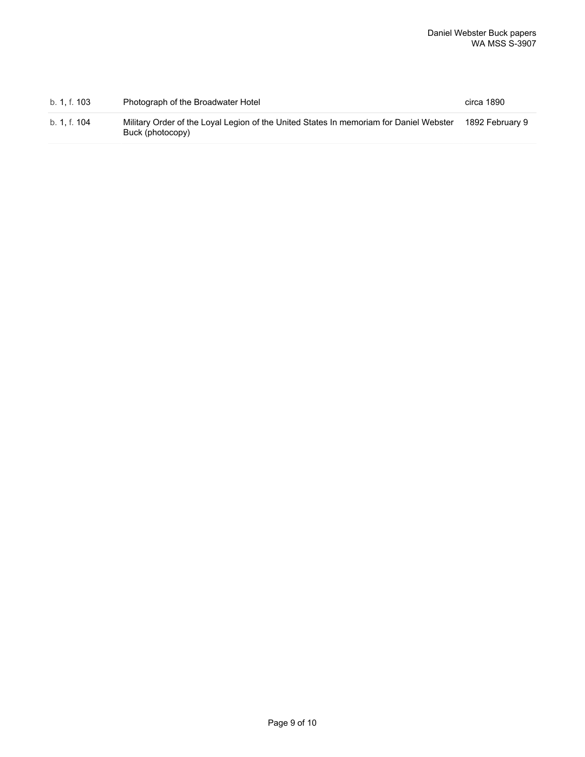| b. 1. f. 103 | Photograph of the Broadwater Hotel                                                                         | circa 1890      |
|--------------|------------------------------------------------------------------------------------------------------------|-----------------|
| b. 1. f. 104 | Military Order of the Loyal Legion of the United States In memoriam for Daniel Webster<br>Buck (photocopy) | 1892 February 9 |